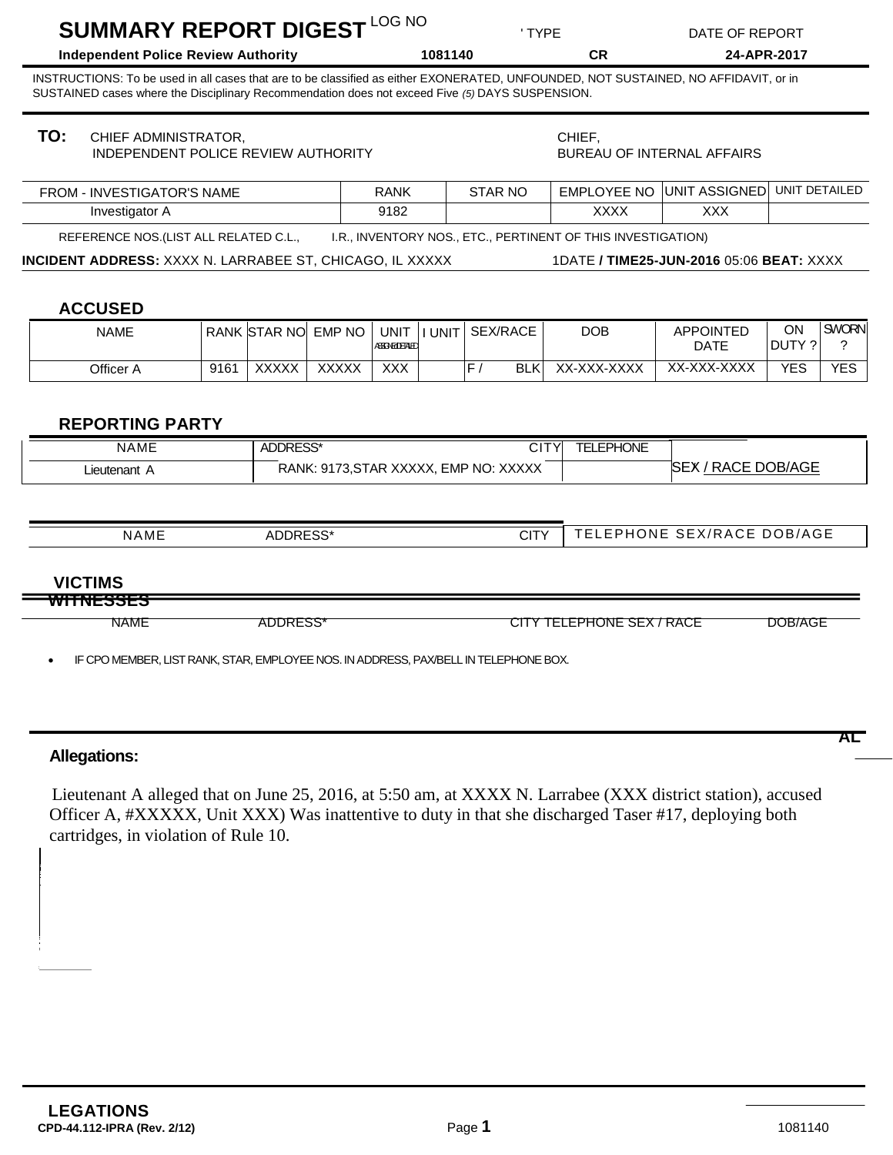| SUMMARY REPORT DIGEST LOG NO<br><b>Independent Police Review Authority</b> |                                                                                                           |      |              |                               | ' TYPE<br>1081140                    |               |                                       |                                                              | DATE OF REPORT                                                                                                                                                                                                       |               |                   |
|----------------------------------------------------------------------------|-----------------------------------------------------------------------------------------------------------|------|--------------|-------------------------------|--------------------------------------|---------------|---------------------------------------|--------------------------------------------------------------|----------------------------------------------------------------------------------------------------------------------------------------------------------------------------------------------------------------------|---------------|-------------------|
|                                                                            |                                                                                                           |      |              |                               |                                      |               |                                       | <b>CR</b>                                                    |                                                                                                                                                                                                                      | 24-APR-2017   |                   |
|                                                                            | SUSTAINED cases where the Disciplinary Recommendation does not exceed Five (5) DAYS SUSPENSION.           |      |              |                               |                                      |               |                                       |                                                              | INSTRUCTIONS: To be used in all cases that are to be classified as either EXONERATED, UNFOUNDED, NOT SUSTAINED, NO AFFIDAVIT, or in                                                                                  |               |                   |
| TO:                                                                        | CHIEF ADMINISTRATOR,<br>INDEPENDENT POLICE REVIEW AUTHORITY                                               |      |              |                               |                                      |               |                                       | CHIEF,<br><b>BUREAU OF INTERNAL AFFAIRS</b>                  |                                                                                                                                                                                                                      |               |                   |
| <b>FROM - INVESTIGATOR'S NAME</b>                                          |                                                                                                           |      |              | <b>STAR NO</b><br><b>RANK</b> |                                      |               |                                       | UNIT ASSIGNED<br><b>EMPLOYEE NO</b>                          |                                                                                                                                                                                                                      | UNIT DETAILED |                   |
|                                                                            | Investigator A                                                                                            |      |              |                               | 9182                                 |               |                                       | <b>XXXX</b>                                                  | <b>XXX</b>                                                                                                                                                                                                           |               |                   |
|                                                                            | REFERENCE NOS. (LIST ALL RELATED C.L.,<br><b>INCIDENT ADDRESS: XXXX N. LARRABEE ST, CHICAGO, IL XXXXX</b> |      |              |                               |                                      |               |                                       | I.R., INVENTORY NOS., ETC., PERTINENT OF THIS INVESTIGATION) | 1DATE / TIME25-JUN-2016 05:06 BEAT: XXXX                                                                                                                                                                             |               |                   |
|                                                                            | <b>ACCUSED</b><br><b>NAME</b>                                                                             |      | RANK STAR NO | <b>EMP NO</b>                 | <b>UNIT</b><br><b>ASSINGLETALE</b>   | <b>I UNIT</b> | SEX/RACE                              | <b>DOB</b>                                                   | <b>APPOINTED</b><br><b>DATE</b>                                                                                                                                                                                      | ON<br>DUTY ?  | <b>SWORN</b><br>? |
|                                                                            | Officer A                                                                                                 | 9161 | <b>XXXXX</b> | <b>XXXXX</b>                  | <b>XXX</b>                           |               | F/<br><b>BLK</b>                      | XX-XXX-XXXX                                                  | XX-XXX-XXXX                                                                                                                                                                                                          | <b>YES</b>    | <b>YES</b>        |
|                                                                            | Lieutenant A                                                                                              |      |              |                               |                                      |               | RANK: 9173, STAR XXXXX, EMP NO: XXXXX |                                                              | SEX / RACE DOB/AGE                                                                                                                                                                                                   |               |                   |
| <b>NAME</b><br>ADDRESS*                                                    |                                                                                                           |      |              | <b>CITY</b>                   |                                      |               | TELEPHONE SEX/RACE DOB/AGE            |                                                              |                                                                                                                                                                                                                      |               |                   |
|                                                                            | <b>VICTIMS</b>                                                                                            |      |              |                               |                                      |               |                                       |                                                              |                                                                                                                                                                                                                      |               |                   |
| <del>itnesses</del><br><b>NAME</b><br>ADDRESS*                             |                                                                                                           |      |              |                               | CITY TELEPHONE SEX / RACE<br>DOB/AGE |               |                                       |                                                              |                                                                                                                                                                                                                      |               |                   |
|                                                                            | IF CPO MEMBER, LIST RANK, STAR, EMPLOYEE NOS. IN ADDRESS, PAXBELL IN TELEPHONE BOX.                       |      |              |                               |                                      |               |                                       |                                                              |                                                                                                                                                                                                                      |               |                   |
|                                                                            |                                                                                                           |      |              |                               |                                      |               |                                       |                                                              |                                                                                                                                                                                                                      |               |                   |
|                                                                            |                                                                                                           |      |              |                               |                                      |               |                                       |                                                              |                                                                                                                                                                                                                      |               | AL                |
|                                                                            | <b>Allegations:</b>                                                                                       |      |              |                               |                                      |               |                                       |                                                              |                                                                                                                                                                                                                      |               |                   |
|                                                                            | cartridges, in violation of Rule 10.                                                                      |      |              |                               |                                      |               |                                       |                                                              | Lieutenant A alleged that on June 25, 2016, at 5:50 am, at XXXX N. Larrabee (XXX district station), accused<br>Officer A, #XXXXX, Unit XXX) Was inattentive to duty in that she discharged Taser #17, deploying both |               |                   |